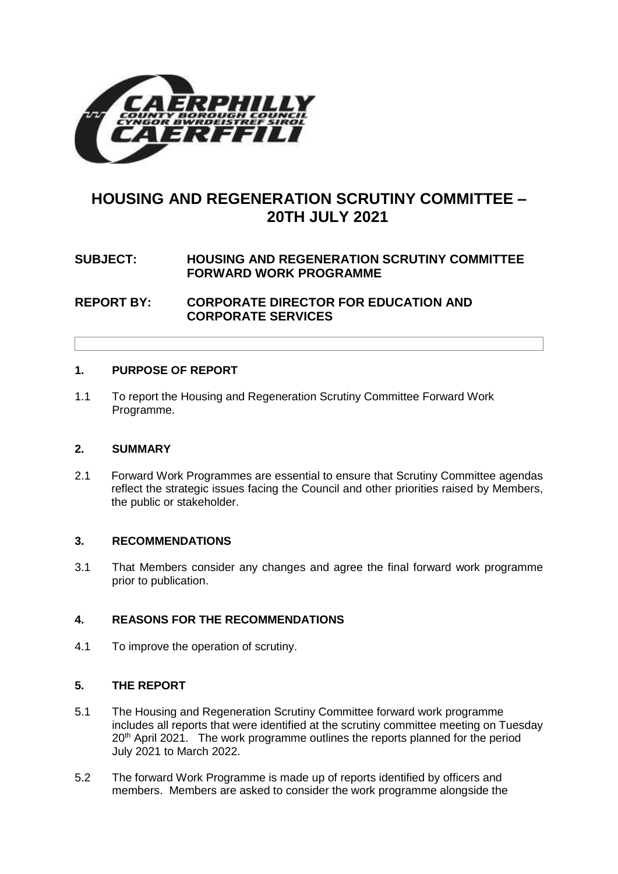

# **HOUSING AND REGENERATION SCRUTINY COMMITTEE – 20TH JULY 2021**

## **SUBJECT: HOUSING AND REGENERATION SCRUTINY COMMITTEE FORWARD WORK PROGRAMME**

**REPORT BY: CORPORATE DIRECTOR FOR EDUCATION AND CORPORATE SERVICES**

#### **1. PURPOSE OF REPORT**

1.1 To report the Housing and Regeneration Scrutiny Committee Forward Work Programme.

#### **2. SUMMARY**

2.1 Forward Work Programmes are essential to ensure that Scrutiny Committee agendas reflect the strategic issues facing the Council and other priorities raised by Members, the public or stakeholder.

#### **3. RECOMMENDATIONS**

3.1 That Members consider any changes and agree the final forward work programme prior to publication.

#### **4. REASONS FOR THE RECOMMENDATIONS**

4.1 To improve the operation of scrutiny.

#### **5. THE REPORT**

- 5.1 The Housing and Regeneration Scrutiny Committee forward work programme includes all reports that were identified at the scrutiny committee meeting on Tuesday 20<sup>th</sup> April 2021. The work programme outlines the reports planned for the period July 2021 to March 2022.
- 5.2 The forward Work Programme is made up of reports identified by officers and members. Members are asked to consider the work programme alongside the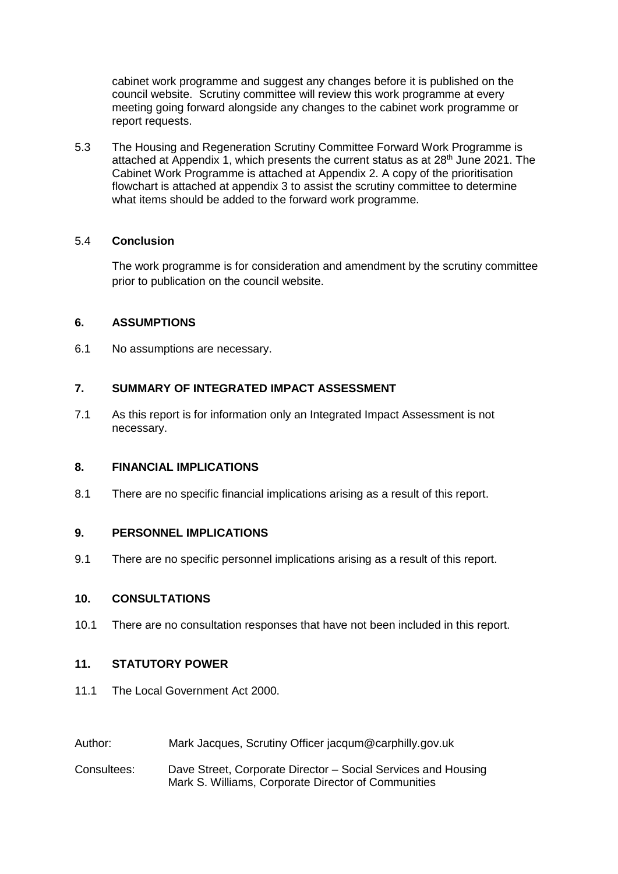cabinet work programme and suggest any changes before it is published on the council website. Scrutiny committee will review this work programme at every meeting going forward alongside any changes to the cabinet work programme or report requests.

5.3 The Housing and Regeneration Scrutiny Committee Forward Work Programme is attached at Appendix 1, which presents the current status as at  $28<sup>th</sup>$  June 2021. The Cabinet Work Programme is attached at Appendix 2. A copy of the prioritisation flowchart is attached at appendix 3 to assist the scrutiny committee to determine what items should be added to the forward work programme.

#### 5.4 **Conclusion**

The work programme is for consideration and amendment by the scrutiny committee prior to publication on the council website.

#### **6. ASSUMPTIONS**

6.1 No assumptions are necessary.

#### **7. SUMMARY OF INTEGRATED IMPACT ASSESSMENT**

7.1 As this report is for information only an Integrated Impact Assessment is not necessary.

#### **8. FINANCIAL IMPLICATIONS**

8.1 There are no specific financial implications arising as a result of this report.

#### **9. PERSONNEL IMPLICATIONS**

9.1 There are no specific personnel implications arising as a result of this report.

#### **10. CONSULTATIONS**

10.1 There are no consultation responses that have not been included in this report.

### **11. STATUTORY POWER**

- 11.1 The Local Government Act 2000.
- Author: Mark Jacques, Scrutiny Officer jacqum@carphilly.gov.uk
- Consultees: Dave Street, Corporate Director Social Services and Housing Mark S. Williams, Corporate Director of Communities